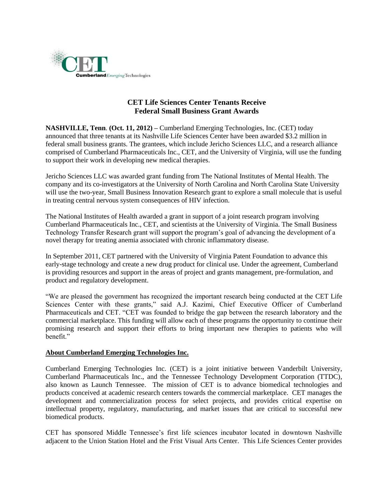

## **CET Life Sciences Center Tenants Receive Federal Small Business Grant Awards**

**NASHVILLE, Tenn**. **(Oct. 11, 2012) –** Cumberland Emerging Technologies, Inc. (CET) today announced that three tenants at its Nashville Life Sciences Center have been awarded \$3.2 million in federal small business grants. The grantees, which include Jericho Sciences LLC, and a research alliance comprised of Cumberland Pharmaceuticals Inc., CET, and the University of Virginia, will use the funding to support their work in developing new medical therapies.

Jericho Sciences LLC was awarded grant funding from The National Institutes of Mental Health. The company and its co-investigators at the University of North Carolina and North Carolina State University will use the two-year, Small Business Innovation Research grant to explore a small molecule that is useful in treating central nervous system consequences of HIV infection.

The National Institutes of Health awarded a grant in support of a joint research program involving Cumberland Pharmaceuticals Inc., CET, and scientists at the University of Virginia. The Small Business Technology Transfer Research grant will support the program's goal of advancing the development of a novel therapy for treating anemia associated with chronic inflammatory disease.

In September 2011, CET partnered with the University of Virginia Patent Foundation to advance this early-stage technology and create a new drug product for clinical use. Under the agreement, Cumberland is providing resources and support in the areas of project and grants management, pre-formulation, and product and regulatory development.

"We are pleased the government has recognized the important research being conducted at the CET Life Sciences Center with these grants," said A.J. Kazimi, Chief Executive Officer of Cumberland Pharmaceuticals and CET. "CET was founded to bridge the gap between the research laboratory and the commercial marketplace. This funding will allow each of these programs the opportunity to continue their promising research and support their efforts to bring important new therapies to patients who will benefit."

## **About Cumberland Emerging Technologies Inc.**

Cumberland Emerging Technologies Inc. (CET) is a joint initiative between Vanderbilt University, Cumberland Pharmaceuticals Inc., and the Tennessee Technology Development Corporation (TTDC), also known as Launch Tennessee. The mission of CET is to advance biomedical technologies and products conceived at academic research centers towards the commercial marketplace. CET manages the development and commercialization process for select projects, and provides critical expertise on intellectual property, regulatory, manufacturing, and market issues that are critical to successful new biomedical products.

CET has sponsored Middle Tennessee's first life sciences incubator located in downtown Nashville adjacent to the Union Station Hotel and the Frist Visual Arts Center. This Life Sciences Center provides